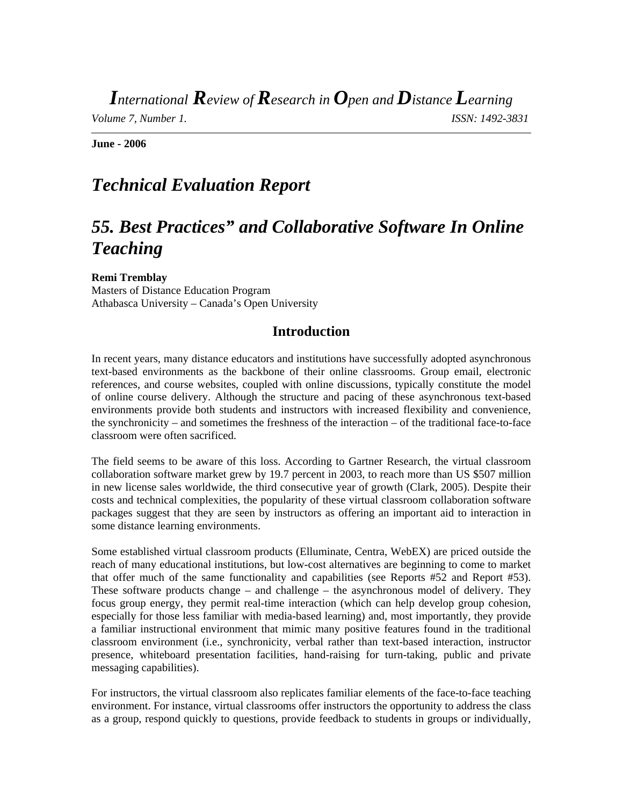*International Review of Research in Open and Distance Learning*

*Volume 7, Number 1. ISSN: 1492-3831* 

**June - 2006** 

## *Technical Evaluation Report*

# *55. Best Practices" and Collaborative Software In Online Teaching*

#### **Remi Tremblay**

Masters of Distance Education Program Athabasca University – Canada's Open University

## **Introduction**

In recent years, many distance educators and institutions have successfully adopted asynchronous text-based environments as the backbone of their online classrooms. Group email, electronic references, and course websites, coupled with online discussions, typically constitute the model of online course delivery. Although the structure and pacing of these asynchronous text-based environments provide both students and instructors with increased flexibility and convenience, the synchronicity – and sometimes the freshness of the interaction – of the traditional face-to-face classroom were often sacrificed.

The field seems to be aware of this loss. According to Gartner Research, the virtual classroom collaboration software market grew by 19.7 percent in 2003, to reach more than US \$507 million in new license sales worldwide, the third consecutive year of growth (Clark, 2005). Despite their costs and technical complexities, the popularity of these virtual classroom collaboration software packages suggest that they are seen by instructors as offering an important aid to interaction in some distance learning environments.

Some established virtual classroom products (Elluminate, Centra, WebEX) are priced outside the reach of many educational institutions, but low-cost alternatives are beginning to come to market that offer much of the same functionality and capabilities (see Reports #52 and Report #53). These software products change – and challenge – the asynchronous model of delivery. They focus group energy, they permit real-time interaction (which can help develop group cohesion, especially for those less familiar with media-based learning) and, most importantly, they provide a familiar instructional environment that mimic many positive features found in the traditional classroom environment (i.e., synchronicity, verbal rather than text-based interaction, instructor presence, whiteboard presentation facilities, hand-raising for turn-taking, public and private messaging capabilities).

For instructors, the virtual classroom also replicates familiar elements of the face-to-face teaching environment. For instance, virtual classrooms offer instructors the opportunity to address the class as a group, respond quickly to questions, provide feedback to students in groups or individually,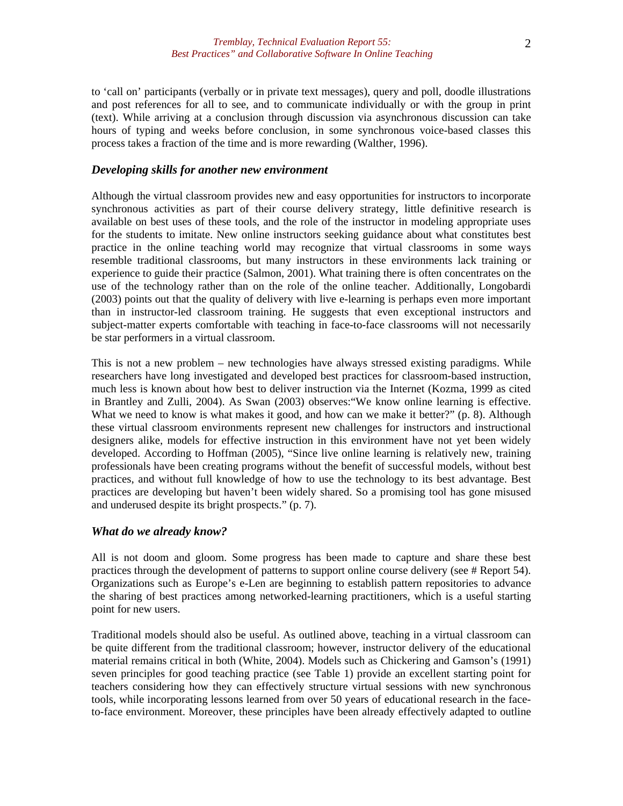to 'call on' participants (verbally or in private text messages), query and poll, doodle illustrations and post references for all to see, and to communicate individually or with the group in print (text). While arriving at a conclusion through discussion via asynchronous discussion can take hours of typing and weeks before conclusion, in some synchronous voice-based classes this process takes a fraction of the time and is more rewarding (Walther, 1996).

#### *Developing skills for another new environment*

Although the virtual classroom provides new and easy opportunities for instructors to incorporate synchronous activities as part of their course delivery strategy, little definitive research is available on best uses of these tools, and the role of the instructor in modeling appropriate uses for the students to imitate. New online instructors seeking guidance about what constitutes best practice in the online teaching world may recognize that virtual classrooms in some ways resemble traditional classrooms, but many instructors in these environments lack training or experience to guide their practice (Salmon, 2001). What training there is often concentrates on the use of the technology rather than on the role of the online teacher. Additionally, Longobardi (2003) points out that the quality of delivery with live e-learning is perhaps even more important than in instructor-led classroom training. He suggests that even exceptional instructors and subject-matter experts comfortable with teaching in face-to-face classrooms will not necessarily be star performers in a virtual classroom.

This is not a new problem – new technologies have always stressed existing paradigms. While researchers have long investigated and developed best practices for classroom-based instruction, much less is known about how best to deliver instruction via the Internet (Kozma, 1999 as cited in Brantley and Zulli, 2004). As Swan (2003) observes:"We know online learning is effective. What we need to know is what makes it good, and how can we make it better?" (p. 8). Although these virtual classroom environments represent new challenges for instructors and instructional designers alike, models for effective instruction in this environment have not yet been widely developed. According to Hoffman (2005), "Since live online learning is relatively new, training professionals have been creating programs without the benefit of successful models, without best practices, and without full knowledge of how to use the technology to its best advantage. Best practices are developing but haven't been widely shared. So a promising tool has gone misused and underused despite its bright prospects." (p. 7).

#### *What do we already know?*

All is not doom and gloom. Some progress has been made to capture and share these best practices through the development of patterns to support online course delivery (see # Report 54). Organizations such as Europe's e-Len are beginning to establish pattern repositories to advance the sharing of best practices among networked-learning practitioners, which is a useful starting point for new users.

Traditional models should also be useful. As outlined above, teaching in a virtual classroom can be quite different from the traditional classroom; however, instructor delivery of the educational material remains critical in both (White, 2004). Models such as Chickering and Gamson's (1991) seven principles for good teaching practice (see Table 1) provide an excellent starting point for teachers considering how they can effectively structure virtual sessions with new synchronous tools, while incorporating lessons learned from over 50 years of educational research in the faceto-face environment. Moreover, these principles have been already effectively adapted to outline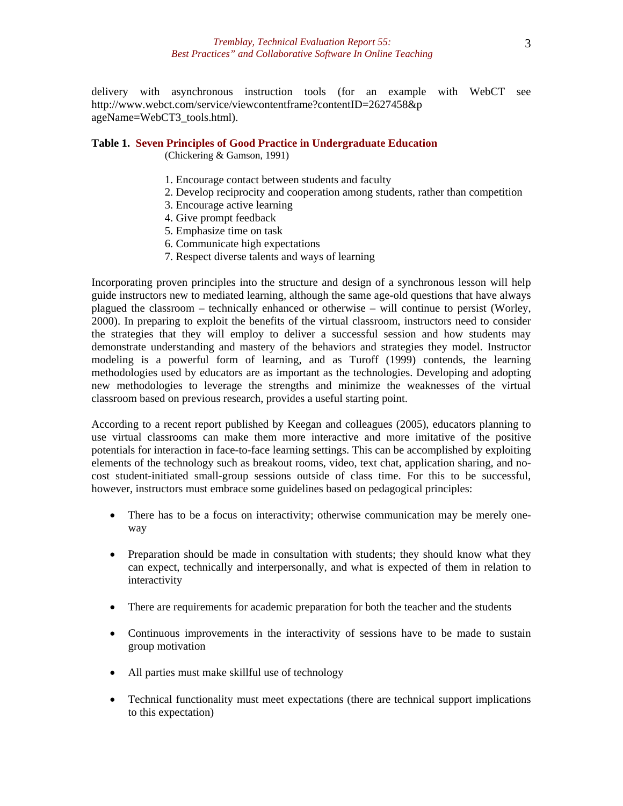delivery with asynchronous instruction tools (for an example with WebCT see http://www.webct.com/service/viewcontentframe?contentID=2627458&p ageName=WebCT3\_tools.html).

#### **Table 1. Seven Principles of Good Practice in Undergraduate Education**

(Chickering & Gamson, 1991)

- 1. Encourage contact between students and faculty
- 2. Develop reciprocity and cooperation among students, rather than competition
- 3. Encourage active learning
- 4. Give prompt feedback
- 5. Emphasize time on task
- 6. Communicate high expectations
- 7. Respect diverse talents and ways of learning

Incorporating proven principles into the structure and design of a synchronous lesson will help guide instructors new to mediated learning, although the same age-old questions that have always plagued the classroom – technically enhanced or otherwise – will continue to persist (Worley, 2000). In preparing to exploit the benefits of the virtual classroom, instructors need to consider the strategies that they will employ to deliver a successful session and how students may demonstrate understanding and mastery of the behaviors and strategies they model. Instructor modeling is a powerful form of learning, and as Turoff (1999) contends, the learning methodologies used by educators are as important as the technologies. Developing and adopting new methodologies to leverage the strengths and minimize the weaknesses of the virtual classroom based on previous research, provides a useful starting point.

According to a recent report published by Keegan and colleagues (2005), educators planning to use virtual classrooms can make them more interactive and more imitative of the positive potentials for interaction in face-to-face learning settings. This can be accomplished by exploiting elements of the technology such as breakout rooms, video, text chat, application sharing, and nocost student-initiated small-group sessions outside of class time. For this to be successful, however, instructors must embrace some guidelines based on pedagogical principles:

- There has to be a focus on interactivity; otherwise communication may be merely oneway
- Preparation should be made in consultation with students; they should know what they can expect, technically and interpersonally, and what is expected of them in relation to interactivity
- There are requirements for academic preparation for both the teacher and the students
- Continuous improvements in the interactivity of sessions have to be made to sustain group motivation
- All parties must make skillful use of technology
- Technical functionality must meet expectations (there are technical support implications to this expectation)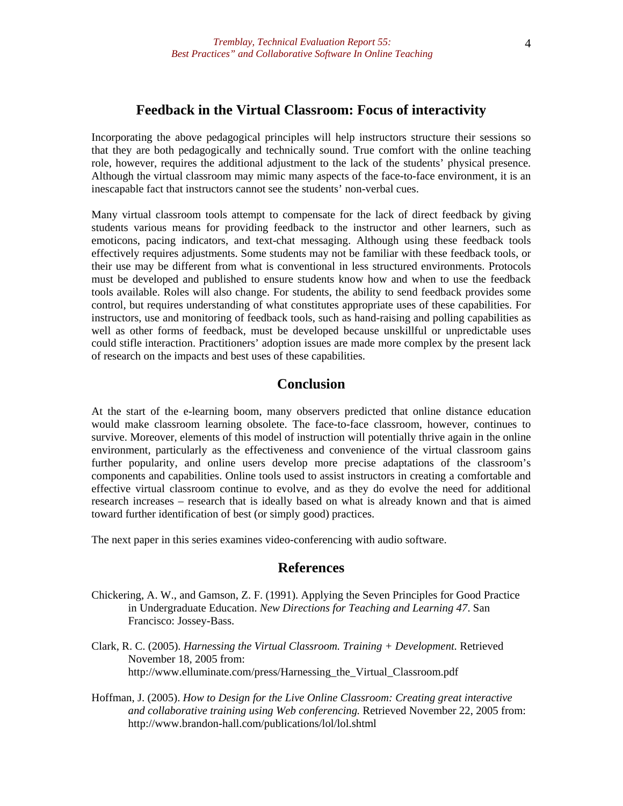### **Feedback in the Virtual Classroom: Focus of interactivity**

Incorporating the above pedagogical principles will help instructors structure their sessions so that they are both pedagogically and technically sound. True comfort with the online teaching role, however, requires the additional adjustment to the lack of the students' physical presence. Although the virtual classroom may mimic many aspects of the face-to-face environment, it is an inescapable fact that instructors cannot see the students' non-verbal cues.

Many virtual classroom tools attempt to compensate for the lack of direct feedback by giving students various means for providing feedback to the instructor and other learners, such as emoticons, pacing indicators, and text-chat messaging. Although using these feedback tools effectively requires adjustments. Some students may not be familiar with these feedback tools, or their use may be different from what is conventional in less structured environments. Protocols must be developed and published to ensure students know how and when to use the feedback tools available. Roles will also change. For students, the ability to send feedback provides some control, but requires understanding of what constitutes appropriate uses of these capabilities. For instructors, use and monitoring of feedback tools, such as hand-raising and polling capabilities as well as other forms of feedback, must be developed because unskillful or unpredictable uses could stifle interaction. Practitioners' adoption issues are made more complex by the present lack of research on the impacts and best uses of these capabilities.

## **Conclusion**

At the start of the e-learning boom, many observers predicted that online distance education would make classroom learning obsolete. The face-to-face classroom, however, continues to survive. Moreover, elements of this model of instruction will potentially thrive again in the online environment, particularly as the effectiveness and convenience of the virtual classroom gains further popularity, and online users develop more precise adaptations of the classroom's components and capabilities. Online tools used to assist instructors in creating a comfortable and effective virtual classroom continue to evolve, and as they do evolve the need for additional research increases – research that is ideally based on what is already known and that is aimed toward further identification of best (or simply good) practices.

The next paper in this series examines video-conferencing with audio software.

#### **References**

- Chickering, A. W., and Gamson, Z. F. (1991). Applying the Seven Principles for Good Practice in Undergraduate Education. *New Directions for Teaching and Learning 47*. San Francisco: Jossey-Bass.
- Clark, R. C. (2005). *Harnessing the Virtual Classroom. Training + Development.* Retrieved November 18, 2005 from: http://www.elluminate.com/press/Harnessing\_the\_Virtual\_Classroom.pdf
- Hoffman, J. (2005). *How to Design for the Live Online Classroom: Creating great interactive and collaborative training using Web conferencing.* Retrieved November 22, 2005 from: http://www.brandon-hall.com/publications/lol/lol.shtml